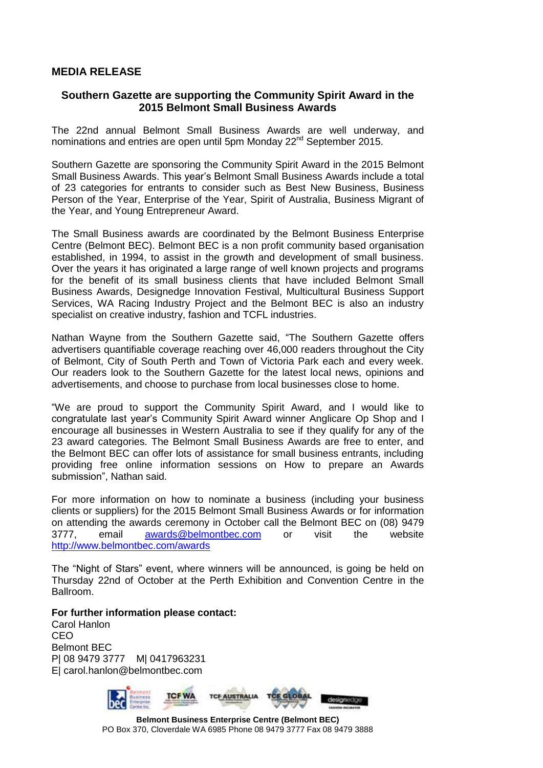## **MEDIA RELEASE**

## **Southern Gazette are supporting the Community Spirit Award in the 2015 Belmont Small Business Awards**

The 22nd annual Belmont Small Business Awards are well underway, and nominations and entries are open until 5pm Monday 22<sup>nd</sup> September 2015.

Southern Gazette are sponsoring the Community Spirit Award in the 2015 Belmont Small Business Awards. This year's Belmont Small Business Awards include a total of 23 categories for entrants to consider such as Best New Business, Business Person of the Year, Enterprise of the Year, Spirit of Australia, Business Migrant of the Year, and Young Entrepreneur Award.

The Small Business awards are coordinated by the Belmont Business Enterprise Centre (Belmont BEC). Belmont BEC is a non profit community based organisation established, in 1994, to assist in the growth and development of small business. Over the years it has originated a large range of well known projects and programs for the benefit of its small business clients that have included Belmont Small Business Awards, Designedge Innovation Festival, Multicultural Business Support Services, WA Racing Industry Project and the Belmont BEC is also an industry specialist on creative industry, fashion and TCFL industries.

Nathan Wayne from the Southern Gazette said, "The Southern Gazette offers advertisers quantifiable coverage reaching over 46,000 readers throughout the City of Belmont, City of South Perth and Town of Victoria Park each and every week. Our readers look to the Southern Gazette for the latest local news, opinions and advertisements, and choose to purchase from local businesses close to home.

"We are proud to support the Community Spirit Award, and I would like to congratulate last year's Community Spirit Award winner Anglicare Op Shop and I encourage all businesses in Western Australia to see if they qualify for any of the 23 award categories. The Belmont Small Business Awards are free to enter, and the Belmont BEC can offer lots of assistance for small business entrants, including providing free online information sessions on How to prepare an Awards submission", Nathan said.

For more information on how to nominate a business (including your business clients or suppliers) for the 2015 Belmont Small Business Awards or for information on attending the awards ceremony in October call the Belmont BEC on (08) 9479 3777, email [awards@belmontbec.com](mailto:awards@belmontbec.com) or visit the website <http://www.belmontbec.com/awards>

The "Night of Stars" event, where winners will be announced, is going be held on Thursday 22nd of October at the Perth Exhibition and Convention Centre in the Ballroom.

**For further information please contact:**

Carol Hanlon CEO Belmont BEC P| 08 9479 3777 M| 0417963231 E| carol.hanlon@belmontbec.com



**Belmont Business Enterprise Centre (Belmont BEC)** PO Box 370, Cloverdale WA 6985 Phone 08 9479 3777 Fax 08 9479 3888